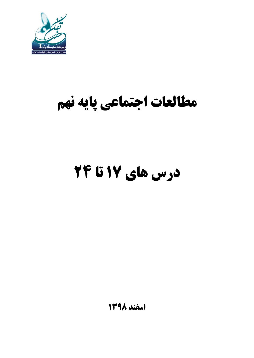

## **مطالعات اجتماعی پایه نهم**

# **درس های 17 تا 24**

**اسفند 1398**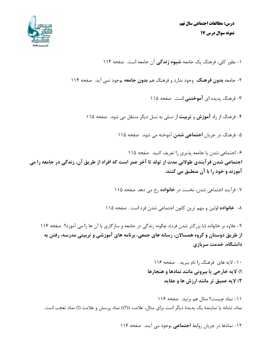

۱- بطور کلی، فرهنگ یک جامعه **شیوه زندگی** آن جامعه است. صفحه ۱۱۴

۲- جامعه **بدون فرهنگ** وجود ندارد و فرهنگ هم **بدون جامعه** بوجود نمی آید. صفحه ۱۱۴

۳- فرهنگ پدیده ای **آموختنی** است. صفحه ۱۱۵

۴- فرهنگ از راه **آموزش و تربیت** از نسلی به نسل دیگر منتقل می شود. صفحه ۱۱۵

۵- فرهنگ در جریان **اجتماعی شدن** آموخته می شود. صفحه ۱۱۵

۶- اجتماعی شدن یا جامعه پذیری را تعریف کنید. صفحه ۱۱۵ اجتماعی شدن فرآیندی طولانی مدت از تولد تا آخر عمر است که افراد از طریق آن، زندگی در جامعه را می آموزند و خود را با آن منطبق می کنند.

۷- فرآیند اجتماعی شدن، نخست در **خانواده** رخ می دهد. صفحه ۱۱۵

٨- خانواده اولین و مهم ترین کانون اجتماعی شدن فرد است . صفحه ۱۱۵

۹- علاوه بر خانواده (با بزرگتر شدن فرد)، چگونه زندگی در جامعه و سازگاری با آن ها را می آموزد؟ صفحه ۱۱۶ از طریق دوستان و گروه همسالان، رسانه های جمعی، برنامه های آموزشی و تربیتی مدرسه، رفتن به دانشگاه، خدمت سربازی

> ۱۰- لایه های فرهنگ را نام ببرید . صفحه ۱۱۶ ١) لايه خارجي يا بيروني مانند نمادها و هنجارها ۲) لايه عميق تر مانند ارزش ها و عقايد

١١- نماد چيست؟ مثال هم بزنيد. صفحه ١١۶ نماد، نشانه یا نمایندهٔ یک پدیدهٔ دیگر است برای مثال، علامت ((؟)) نماد پرسش و علامت (!) نماد تعجب است.

۱۲- نمادها در جریان روابط **اجتماعی** بوجود می آیند. صفحه ۱۱۶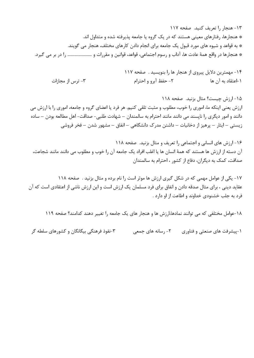١٣- هنجار را تعريف كنيد. صفحه ١١٧ \* هنجارها، رفتارهای معینی هستند که در یک گروه یا جامعه پذیرفته شده و متداول اند. \* به قواعد و شیوه های مورد قبول یک جامعه برای انجام دادن کارهای مختلف، هنجار می گویند. \* هنجارها در واقع همهٔ عادت ها، آداب و رسوم اجتماعی، قواعد، قوانین و مقررات و ……………………. را در بر می گیرد.

۱۴- مهمترین دلایل پیروی از هنجار ها را بنویسید . صفحه ۱۱۷ ۳- ترس از مجازات ٢- حفظ آبرو و احترام ۱-اعتقاد به آن ها

۱۵– ارزش چیست؟ مثال بزنید. صفحه ۱۱۸ ارزش يعني اينكه ما، اموري را خوب، مطلوب و مثبت تلقى كنيم. هر فرد يا اعضاى گروه و جامعه، امورى را با ارزش مى دانند و امور دیگری را ناپسند می دانند مانند احترام به سالمندان – شهادت طلبی- صداقت- اهل مطالعه بودن – ساده زیستی – ایثار – پرهیز از دخانیات – داشتن مدرک دانشگاهی – انفاق – مشهور شدن – فخر فروشی

۱۶– ارزش های انسانی و اجتماعی را تعریف و مثال بزنید. صفحه ۱۱۸ آن دسته از ارزش ها هستند که همهٔ انسان ها یا اغلب افراد یک جامعه آن را خوب و مطلوب می دانند مانند شجاعت، صداقت، کمک به دیگران، دفاع از کشور ، احترام به سالمندان

۱۷– یکی از عوامل مهمی که در شکل گیری ارزش ها موثر است را نام برده و مثال بزنید . صفحه ۱۱۸ عقاید دینی ، برای مثال صدقه دادن و انفاق برای فرد مسلمان یک ارزش است و این ارزش ناشی از اعتقادی است که آن فرد به جلب خشنودی خداوند و اطاعت از او دارد .

١٨-عوامل مختلفي كه مي توانند نمادها،ارزش ها و هنجار هاي يک جامعه را تغيير دهند كدامند؟ صفحه ١١٩

۳-نفوذ فرهنگی بیگانگان و کشورهای سلطه گر (-پیشرفت های صنعتی و فناوری ٢- رسانه های جمعی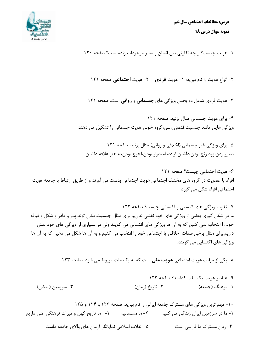

۱- هويت چيست؟ و چه تفاوتي بين انسان و ساير موجودات زنده است؟ صفحه ١٢٠

۲- انواع هویت را نام ببرید: ۱- هویت **فردی م** ۲- هویت **اجتماعی** صفحه ۱۲۱

۳- هویت فردی شامل دو بخش ویژگی های **جسمانی و روانی ا**ست. صفحه ۱۲۱

۴- برای هویت جسمانی مثال بزنید. صفحه ۱۲۱ ویژگی هایی مانند جنسیت،قد،وزن،سن،گروه خونی هویت جسمانی را تشکیل می دهند

۵- برای ویژگی غیر جسمانی (اخلاقی و روانی) مثال بزنید. صفحه ۱۲۱ صبوربودن،زود رنج بودن،داشتن اراده، اميدوار بودن،لجوج بودن،به هنر علاقه داشتن

۶- هويت اجتماعي چيست؟ صفحه ١٢١ افراد با عضویت در گروه های مختلف اجتماعی هویت اجتماعی بدست می آورند و از طریق ارتباط با جامعه هویت اجتماعی افراد شکل می گیرد

٧- تفاوت ویژگی های انتسابی و اکتسابی چیست؟ صفحه ١٢٢ ما در شکل گیری بعضی از ویژگی های خود نقشی نداریم.برای مثال جنسیت،مکان تولد،پدر و مادر و شکل و قیافه خود را انتخاب نمی کنیم که به آن ها ویژگی های انتسابی می گویند ولی در بسیاری از ویژگی های خود نقش داريم.براي مثال برخي صفات اخلاقي يا اجتماعي خود را انتخاب مي كنيم و به آن ها شكل مي دهيم كه به آن ها ویژگی های اکتسابی می گویند.

٨- یکی از مراتب هویت اجتماعی هویت ملی است که به یک ملت مربوط می شود. صفحه ١٢٣

۱۰- مهم ترین ویژگی های مشترک جامعه ایرانی را نام ببرید. صفحه ۱۲۳ و ۱۲۴ و ۱۲۵ ٢- ما مسلمانيم ٣- ما تاريخ کهن و ميراث فرهنگي غني داريم ۱– ما در سرزمین ایران زندگی می کنیم ۴- زبان مشترک ما فارسی است ۵- انقلاب اسلامی نمایانگر آرمان های والای جامعه ماست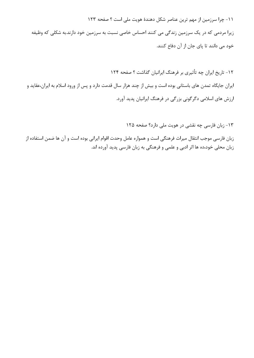١١- چرا سرزمين از مهم ترين عناصر شكل دهندهٔ هويت ملي است ؟ صفحه ١٢٣

زیرا مردمی که در یک سرزمین زندگی می کنند احساس خاصی نسبت به سرزمین خود دارند.به شکلی که وظیفه خود می دانند تا پای جان از آن دفاع کنند.

۱۲- تاریخ ایران چه تأثیری بر فرهنگ ایرانیان گذاشت ؟ صفحه ۱۲۴ ایران جایگاه تمدن های باستانی بوده است و بیش از چند هزار سال قدمت دارد و پس از ورود اسلام به ایران،عقاید و ارزش های اسلامی دگرگونی بزرگی در فرهنگ ایرانیان پدید آورد.

۱۳- زبان فارسی چه نقشی در هویت ملی دارد؟ صفحه ۱۲۵

زبان فارسی موجب انتقال میراث فرهنگی است و همواره عامل وحدت اقوام ایرانی بوده است و آن ها ضمن استفاده از زبان محلی خود،ده ها اثر ادبی و علمی و فرهنگی به زبان فارسی پدید آورده اند.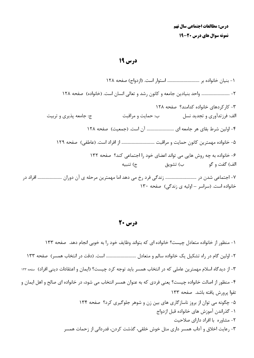درس 19

٢- .............................. واحد بنيادين جامعه و كانون رشد و تعالى انسان است. (خانواده) صفحه ١٢٨ ۳- کار کردهای خانواده کدامند؟ صفحه ۱۲۸ الف: فرزتدآوري و تجديد نسل سين حمايت و مراقبت ج: جامعه پذیری و تربیت ۴- اولین شرط بقای هر جامعه ای ............................... آن است. (جمعیت) صفحه ۱۲۸ ۶- خانواده به چه روش هایی می تواند اعضای خود را اجتماعی کند؟ صفحه ۱۳۲ ج) تنبيه الف) گفت و گو ب) تشويق خانواده است. (سراسر - اولیه ی زندگی) صفحه ۱۳۰

درس 20

۱– منظور از خانواده متعادل چیست؟ خانواده ای که بتواند وظایف خود را به خوبی انجام دهد. صفحه ۱۳۳ ۲- اولین گام در راه تشکیل یک خانواده سالم و متعادل ................................. است. (دقت در انتخاب همسر) صفحه ۱۳۳ ٣- از ديدگاه اسلام مهمترين عاملي كه در انتخاب همسر بايد توجه كرد چيست؟ (ايمان و اعتقادات ديني افراد) صفحه ١٣٣ ۴- منظور از اصالت خانواده چیست؟ یعنی فردی که به عنوان همسر انتخاب می شود، در خانواده ای صالح و اهل ایمان و تقوا پرورش يافته باشد. صفحه ١٣٣ ۵- چگونه می توان از بروز ناسازگاری های بین زن و شوهر جلوگیری کرد؟ صفحه ۱۳۴ ۱- گذراندن آموزش های خانواده قبل ازدواج ۲- مشاوره با افراد دارای صلاحیت ٣- رعايت اخلاق و آداب همسر داري مثل خوش خلقي، گذشت كردن، قدرداني از زحمات همسر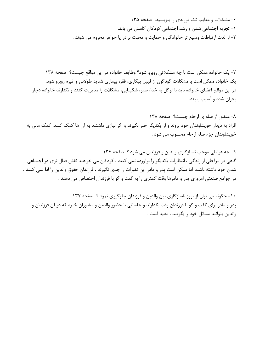۶- مشکلات و معایب تک فرزندی را بنویسید. صفحه ۱۳۵ ۱- تجربه اجتماعی شدن و رشد اجتماعی کودکان کاهش می یابد. ٢- از لذت ارتباطات وسيع تر خانوادگي و حمايت و محبت برادر يا خواهر محروم مي شوند .

٧- یک خانواده ممکن است با چه مشکلاتی روبرو شود؟ وظایف خانواده در این مواقع چیست؟ صفحه ١٣٨ یک خانواده ممکن است با مشکلات گوناگون از قبیل بیکاری، فقر، بیماری شدید طولانی و غیره روبرو شود. در این مواقع اعضای خانواده باید با توکل به خدا، صبر، شکیبایی، مشکلات را مدیریت کنند و نگذارند خانواده دچار بحران شده و آسیب ببیند.

٨- منظور از صله ی ارحام چیست؟ صفحه ١٣٨ افراد به دیدار خویشاوندان خود بروند و از یکدیگر خبر بگیرند و اگر نیازی داشتند به آن ها کمک کنند. کمک مالی به خويشاوندان جزء صله ارحام محسوب مي شود .

۹- چه عواملي موجب ناسازگاري والدين و فرزندان مي شود ؟ صفحه ۱۳۶ گاهی در مراحلی از زندگی ، انتظارات یکدیگر را برآورده نمی کنند ، کودکان می خواهند نقش فعال تری در اجتماعی شدن خود داشته باشند اما ممكن است يدر و مادر اين تغيرات را جدي نگيرند ، فرزندان حقوق والدين را ادا نمي كنند ، در جوامع صنعتی امروزی پدر و مادرها وقت کمتری را به گفت و گو با فرزندان اختصاص می دهند .

۱۰- چگونه می توان از بروز ناسازگاری بین والدین و فرزندان جلوگیری نمود ؟ صفحه ۱۳۷ پدر و مادر برای گفت و گو با فرزندان وقت بگذارند و جلساتی با حضور والدین و مشاوران خبره که در آن فرزندان و والدين بتوانند مسائل خود را بگويند ، مفيد است .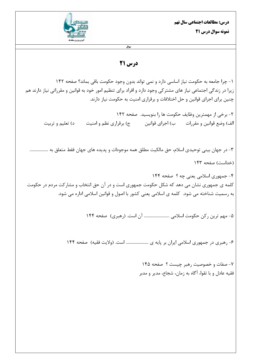

سوال

### درس 21

١- چرا جامعه به حکومت نیاز اساسی دارد و نمی تواند بدون وجود حکومت باقی بماند؟ صفحه ١۴٢ زیرا در زندگی اجتماعی نیاز های مشترکی وجود دارد و افراد برای تنظیم امور خود به قوانین و مقرراتی نیاز دارند هم چنین برای اجرای قوانین و حل اختلافات و برقراری امنیت به حکومت نیاز دارند.

۲- برخی از مهمترین وظایف حکومت ها ٫ا بنویسید. صفحه ۱۴۲ الف) وضع قوانین و مقررات مسب) اجرای قوانین مسلح ج) برقراری نظم و امنیت د) تعلیم و تربیت

٣- در جهان بيني توحيدي اسلام، حق مالكيت مطلق همه موجودات و پديده هاي جهان فقط متعلق به .................. (خداست) صفحه ۱۴۳

۴- جمهوری اسلامی یعنی چه ؟ صفحه ۱۴۴ کلمه ی جمهوری نشان می دهد که شکل حکومت جمهوری است و در آن حق انتخاب و مشارکت مردم در حکومت به رسمیت شناخته می شود. کلمه ی اسلامی یعنی کشور با اصول و قوانین اسلامی اداره می شود.

۵- مهم ترین رکن حکومت اسلامی ........................... آن است. (رهبری) صفحه ۱۴۴

۶- رهبری در جمهوری اسلامی ایران بر پایه ی ....................... است. (ولایت فقیه) صفحه ۱۴۴

٧- صفات و خصوصیت رهبر چیست ؟ صفحه ۱۴۵ فقیه عادل و با تقوا، آگاه به زمان، شجاع، مدیر و مدبر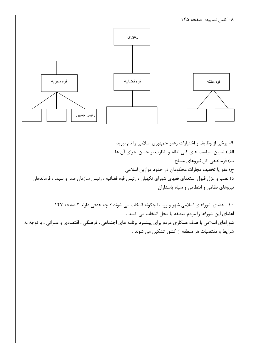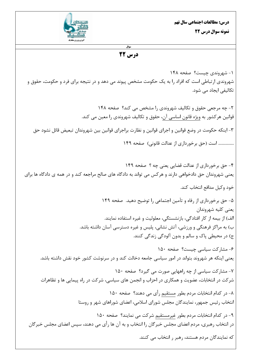

#### سوال درس 22

۱- شهروندي چيست؟ صفحه ۱۴۸ شهروندی ارتباطی است که افراد را به یک حکومت مشخص پیوند می دهد و در نتیجه برای فرد و حکومت، حقوق و تکالیفی ایجاد مے شود.

۲- چه مرجعی حقوق و تکالیف شهروندی را مشخص می کند؟ صفحه ۱۴۸ قوانین هرکشور به <u>ویژه قانون اساس</u>ی آن، حقوق و تکالیف شهروندی را معین می کند. ۳- اینکه حکومت در وضع قوانین و اجرای قوانین و نظارت براجرای قوانین بین شهروندان تبعیض قائل نشود حق ................ است (حق برخورداري از عدالت قانوني) صفحه ١۴٩

۴- حق برخورداری از عدالت قضایی یعنی چه ؟ صفحه ۱۴۹ یعنی شهروندان حق دادخواهی دارند و هر کس می تواند به دادگاه های صالح مراجعه کند و در همه ی دادگاه ها برای خود وكيل مدافع انتخاب كند. ۵- حق برخورداری از رفاه و تآمین اجتماعی را توضیح دهید. صفحه ۱۴۹ يعني كليه شهروندان الف) از بیمه از کار افتادگی، بازنشستگی، معلولیت و غیره استفاده نمایند. ب) به مراکز فرهنگی و ورزشی، آتش نشانی، پلیس و غیره دسترسی آسان داشته باشد. ج) در محيطي پاک و سالم و بدون آلودگي زندگي کنند. ۶- مشاركت سياسى چيست؟ صفحه ١۵٠ یعنی اینکه هر شهروند بتواند در امور سیاسی جامعه دخالت کند و در سرنوشت کشور خود نقش داشته باشد. ۷- مشارکت سیاسی از چه راههایی صورت می گیرد؟ صفحه ۱۵۰ شرکت در انتخابات، عضویت و همکاری در احزاب و انجمن های سیاسی، شرکت در راه پیمایی ها و تظاهرات ۸- در کدام انتخابات مردم بطور مستقیم رأی می دهند؟ صفحه ۱۵۰ انتخاب رئیس جمهور، نمایندگان مجلس شورای اسلامی، اعضای شوراهای شهر و روستا ۹- در کدام انتخابات مردم بطور غیرمستقیم شرکت می نمایند؟ صفحه ۱۵۰ در انتخاب رهبری، مردم اعضای مجلس خبرگان را انتخاب و به آن ها رأی می دهند، سپس اعضای مجلس خبرگان که نمایندگان مردم هستند، رهبر ر انتخاب می کنند.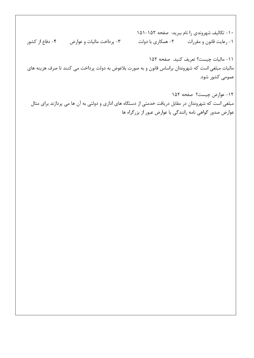۱۰- تكاليف شهروندي را نام ببريد: صفحه ۱۵۲-۱۵۱ ۳- پرداخت مالیات و عوارض ۴- دفاع از کشور ۱- رعایت قانون و مقررات  $\sim$  ۲- همکاری با دولت

١١- ماليات چيست؟ تعريف كنيد. صفحه ١٥٢ مالیات مبلغی است که شهروندان براساس قانون و به صورت بلاعوض به دولت پرداخت می کنند تا صرف هزینه های عمومی کشور شود.

١٢- عوارض چيست؟ صفحه ١۵٢ مبلغی است که شهروندان در مقابل دریافت خدمتی از دستگاه های اداری و دولتی به آن ها می پردازند برای مثال عوارض صدور گواهی نامه رانندگی یا عوارض عبور از بزرگراه ها